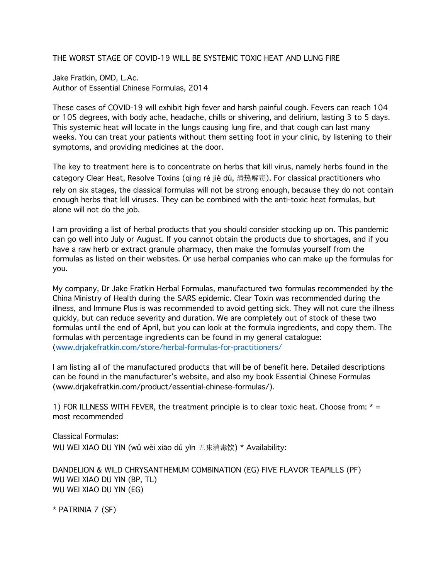THE WORST STAGE OF COVID-19 WILL BE SYSTEMIC TOXIC HEAT AND LUNG FIRE

Jake Fratkin, OMD, L.Ac. Author of Essential Chinese Formulas, 2014

These cases of COVID-19 will exhibit high fever and harsh painful cough. Fevers can reach 104 or 105 degrees, with body ache, headache, chills or shivering, and delirium, lasting 3 to 5 days. This systemic heat will locate in the lungs causing lung fire, and that cough can last many weeks. You can treat your patients without them setting foot in your clinic, by listening to their symptoms, and providing medicines at the door.

The key to treatment here is to concentrate on herbs that kill virus, namely herbs found in the category Clear Heat, Resolve Toxins (qīng rè jiě dú, 清热解毒). For classical practitioners who rely on six stages, the classical formulas will not be strong enough, because they do not contain enough herbs that kill viruses. They can be combined with the anti-toxic heat formulas, but alone will not do the job.

I am providing a list of herbal products that you should consider stocking up on. This pandemic can go well into July or August. If you cannot obtain the products due to shortages, and if you have a raw herb or extract granule pharmacy, then make the formulas yourself from the formulas as listed on their websites. Or use herbal companies who can make up the formulas for you.

My company, Dr Jake Fratkin Herbal Formulas, manufactured two formulas recommended by the China Ministry of Health during the SARS epidemic. Clear Toxin was recommended during the illness, and Immune Plus is was recommended to avoid getting sick. They will not cure the illness quickly, but can reduce severity and duration. We are completely out of stock of these two formulas until the end of April, but you can look at the formula ingredients, and copy them. The formulas with percentage ingredients can be found in my general catalogue: (www.drjakefratkin.com/store/herbal-formulas-for-practitioners/

I am listing all of the manufactured products that will be of benefit here. Detailed descriptions can be found in the manufacturer's website, and also my book Essential Chinese Formulas (www.drjakefratkin.com/product/essential-chinese-formulas/).

1) FOR ILLNESS WITH FEVER, the treatment principle is to clear toxic heat. Choose from:  $* =$ most recommended

Classical Formulas: WU WEI XIAO DU YIN (wǔ wèi xiāo dú yǐn 五味消毒饮) \* Availability:

DANDELION & WILD CHRYSANTHEMUM COMBINATION (EG) FIVE FLAVOR TEAPILLS (PF) WU WEI XIAO DU YIN (BP, TL) WU WEI XIAO DU YIN (EG)

\* PATRINIA 7 (SF)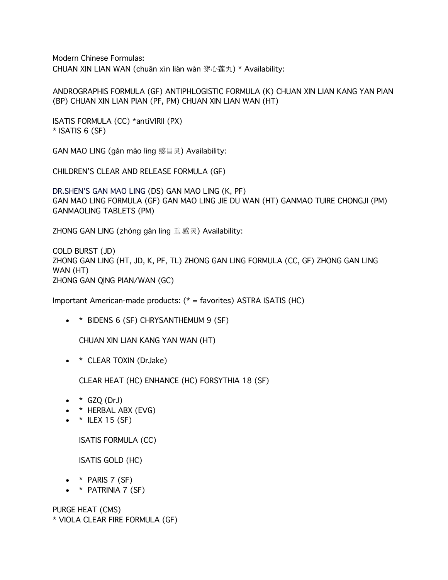Modern Chinese Formulas: CHUAN XIN LIAN WAN (chuān xīn lián wán 穿心莲丸) \* Availability:

ANDROGRAPHIS FORMULA (GF) ANTIPHLOGISTIC FORMULA (K) CHUAN XIN LIAN KANG YAN PIAN (BP) CHUAN XIN LIAN PIAN (PF, PM) CHUAN XIN LIAN WAN (HT)

ISATIS FORMULA (CC) \*antiVIRII (PX)  $*$  ISATIS 6 (SF)

GAN MAO LING (gǎn mào líng 感冒灵) Availability:

CHILDREN'S CLEAR AND RELEASE FORMULA (GF)

DR.SHEN'S GAN MAO LING (DS) GAN MAO LING (K, PF) GAN MAO LING FORMULA (GF) GAN MAO LING JIE DU WAN (HT) GANMAO TUIRE CHONGJI (PM) GANMAOLING TABLETS (PM)

ZHONG GAN LING (zhòng gǎn ling 重感灵) Availability:

COLD BURST (JD) ZHONG GAN LING (HT, JD, K, PF, TL) ZHONG GAN LING FORMULA (CC, GF) ZHONG GAN LING WAN (HT) ZHONG GAN QING PIAN/WAN (GC)

Important American-made products: (\* = favorites) ASTRA ISATIS (HC)

• \* BIDENS 6 (SF) CHRYSANTHEMUM 9 (SF)

CHUAN XIN LIAN KANG YAN WAN (HT)

• \* CLEAR TOXIN (DrJake)

CLEAR HEAT (HC) ENHANCE (HC) FORSYTHIA 18 (SF)

- $\bullet \quad * \quad$  GZQ (DrJ)
- \* HERBAL ABX (EVG)
- $\bullet$  \* ILEX 15 (SF)

ISATIS FORMULA (CC)

ISATIS GOLD (HC)

- $\bullet$  \* PARIS 7 (SF)
- $\bullet$  \* PATRINIA 7 (SF)

PURGE HEAT (CMS)

\* VIOLA CLEAR FIRE FORMULA (GF)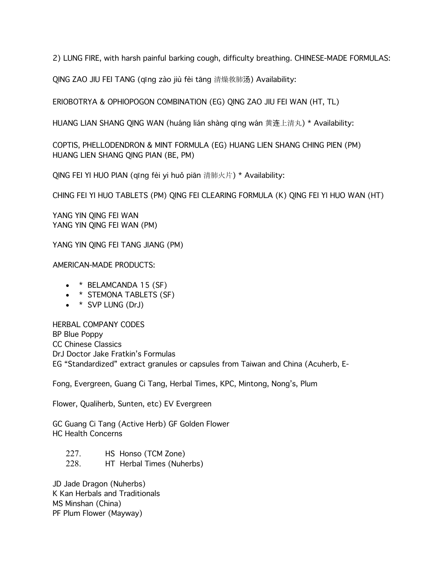2) LUNG FIRE, with harsh painful barking cough, difficulty breathing. CHINESE-MADE FORMULAS:

QING ZAO JIU FEI TANG (qīng zào jiù fèi tāng 清燥救肺汤) Availability:

ERIOBOTRYA & OPHIOPOGON COMBINATION (EG) QING ZAO JIU FEI WAN (HT, TL)

HUANG LIAN SHANG QING WAN (huáng lián shàng qīng wán 黄连上清丸) \* Availability:

COPTIS, PHELLODENDRON & MINT FORMULA (EG) HUANG LIEN SHANG CHING PIEN (PM) HUANG LIEN SHANG QING PIAN (BE, PM)

QING FEI YI HUO PIAN (qīng fèi yi huǒ piān 清肺火片) \* Availability:

CHING FEI YI HUO TABLETS (PM) QING FEI CLEARING FORMULA (K) QING FEI YI HUO WAN (HT)

YANG YIN QING FEI WAN YANG YIN QING FEI WAN (PM)

YANG YIN QING FEI TANG JIANG (PM)

AMERICAN-MADE PRODUCTS:

- $\bullet$  \* BELAMCANDA 15 (SF)
- \* STEMONA TABLETS (SF)
- $\bullet$  \* SVP LUNG (DrJ)

HERBAL COMPANY CODES BP Blue Poppy CC Chinese Classics DrJ Doctor Jake Fratkin's Formulas EG "Standardized" extract granules or capsules from Taiwan and China (Acuherb, E-

Fong, Evergreen, Guang Ci Tang, Herbal Times, KPC, Mintong, Nong's, Plum

Flower, Qualiherb, Sunten, etc) EV Evergreen

GC Guang Ci Tang (Active Herb) GF Golden Flower HC Health Concerns

227. HS Honso (TCM Zone) 228. HT Herbal Times (Nuherbs)

JD Jade Dragon (Nuherbs) K Kan Herbals and Traditionals MS Minshan (China) PF Plum Flower (Mayway)